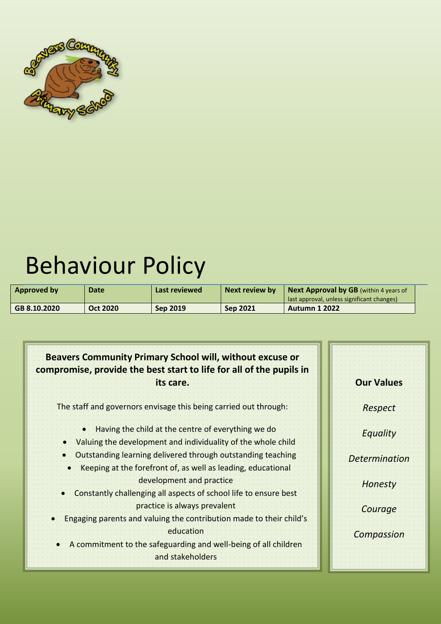

# Behaviour Policy

| Approved by  | <b>Date</b>     | Last reviewed   | Next review by  | <b>Next Approval by GB</b> (within 4 years of<br>last approval, unless significant changes) |
|--------------|-----------------|-----------------|-----------------|---------------------------------------------------------------------------------------------|
| GB 8.10.2020 | <b>Oct 2020</b> | <b>Sep 2019</b> | <b>Sep 2021</b> | <b>Autumn 1 2022</b>                                                                        |

| <b>Beavers Community Primary School will, without excuse or</b><br>compromise, provide the best start to life for all of the pupils in<br>its care. | <b>Our Values</b>    |
|-----------------------------------------------------------------------------------------------------------------------------------------------------|----------------------|
| The staff and governors envisage this being carried out through:                                                                                    | Respect              |
| Having the child at the centre of everything we do<br>• Valuing the development and individuality of the whole child                                | Equality             |
| Coutstanding learning delivered through outstanding teaching<br>Keeping at the forefront of, as well as leading, educational                        | <b>Determination</b> |
| development and practice<br>Constantly challenging all aspects of school life to ensure best                                                        | <b>Honesty</b>       |
| practice is always prevalent<br>Engaging parents and valuing the contribution made to their child's                                                 | Courage              |
| education.<br>A commitment to the safeguarding and well-being of all children<br>and stakeholders                                                   | <b>Compassion</b>    |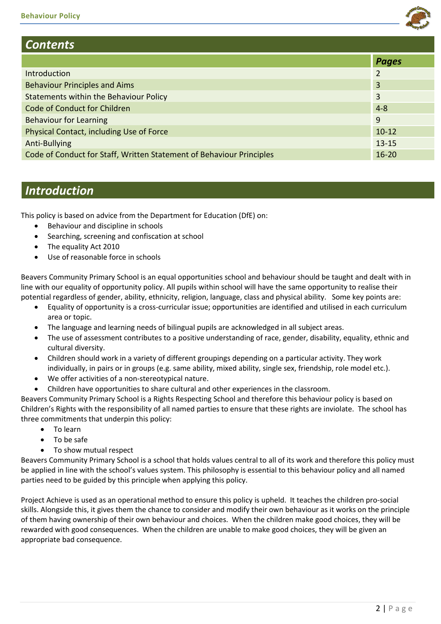

# *Contents*

|                                                                      | <b>Pages</b> |
|----------------------------------------------------------------------|--------------|
| Introduction                                                         | 2            |
| <b>Behaviour Principles and Aims</b>                                 | 3            |
| Statements within the Behaviour Policy                               | 3            |
| Code of Conduct for Children                                         | $4 - 8$      |
| <b>Behaviour for Learning</b>                                        | 9            |
| Physical Contact, including Use of Force                             | $10 - 12$    |
| Anti-Bullying                                                        | $13 - 15$    |
| Code of Conduct for Staff, Written Statement of Behaviour Principles | $16 - 20$    |

# *Introduction*

This policy is based on advice from the Department for Education (DfE) on:

- Behaviour and discipline in schools
- Searching, screening and confiscation at school
- The equality Act 2010
- Use of reasonable force in schools

Beavers Community Primary School is an equal opportunities school and behaviour should be taught and dealt with in line with our equality of opportunity policy. All pupils within school will have the same opportunity to realise their potential regardless of gender, ability, ethnicity, religion, language, class and physical ability. Some key points are:

- Equality of opportunity is a cross-curricular issue; opportunities are identified and utilised in each curriculum area or topic.
- The language and learning needs of bilingual pupils are acknowledged in all subject areas.
- The use of assessment contributes to a positive understanding of race, gender, disability, equality, ethnic and cultural diversity.
- Children should work in a variety of different groupings depending on a particular activity. They work individually, in pairs or in groups (e.g. same ability, mixed ability, single sex, friendship, role model etc.).
- We offer activities of a non-stereotypical nature.
- Children have opportunities to share cultural and other experiences in the classroom.

Beavers Community Primary School is a Rights Respecting School and therefore this behaviour policy is based on Children's Rights with the responsibility of all named parties to ensure that these rights are inviolate. The school has three commitments that underpin this policy:

- **•** To learn
- To be safe
- To show mutual respect

Beavers Community Primary School is a school that holds values central to all of its work and therefore this policy must be applied in line with the school's values system. This philosophy is essential to this behaviour policy and all named parties need to be guided by this principle when applying this policy.

Project Achieve is used as an operational method to ensure this policy is upheld. It teaches the children pro-social skills. Alongside this, it gives them the chance to consider and modify their own behaviour as it works on the principle of them having ownership of their own behaviour and choices. When the children make good choices, they will be rewarded with good consequences. When the children are unable to make good choices, they will be given an appropriate bad consequence.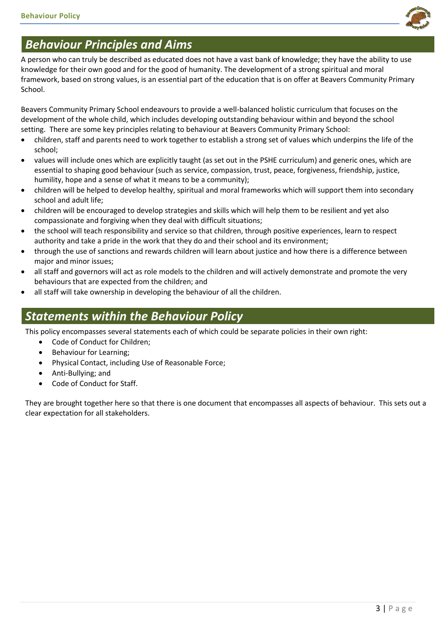

# *Behaviour Principles and Aims*

A person who can truly be described as educated does not have a vast bank of knowledge; they have the ability to use knowledge for their own good and for the good of humanity. The development of a strong spiritual and moral framework, based on strong values, is an essential part of the education that is on offer at Beavers Community Primary School.

Beavers Community Primary School endeavours to provide a well-balanced holistic curriculum that focuses on the development of the whole child, which includes developing outstanding behaviour within and beyond the school setting. There are some key principles relating to behaviour at Beavers Community Primary School:

- children, staff and parents need to work together to establish a strong set of values which underpins the life of the school;
- values will include ones which are explicitly taught (as set out in the PSHE curriculum) and generic ones, which are essential to shaping good behaviour (such as service, compassion, trust, peace, forgiveness, friendship, justice, humility, hope and a sense of what it means to be a community);
- children will be helped to develop healthy, spiritual and moral frameworks which will support them into secondary school and adult life;
- children will be encouraged to develop strategies and skills which will help them to be resilient and yet also compassionate and forgiving when they deal with difficult situations;
- the school will teach responsibility and service so that children, through positive experiences, learn to respect authority and take a pride in the work that they do and their school and its environment;
- through the use of sanctions and rewards children will learn about justice and how there is a difference between major and minor issues;
- all staff and governors will act as role models to the children and will actively demonstrate and promote the very behaviours that are expected from the children; and
- all staff will take ownership in developing the behaviour of all the children.

# *Statements within the Behaviour Policy*

This policy encompasses several statements each of which could be separate policies in their own right:

- Code of Conduct for Children;
- Behaviour for Learning;
- Physical Contact, including Use of Reasonable Force;
- Anti-Bullying; and
- Code of Conduct for Staff.

They are brought together here so that there is one document that encompasses all aspects of behaviour. This sets out a clear expectation for all stakeholders.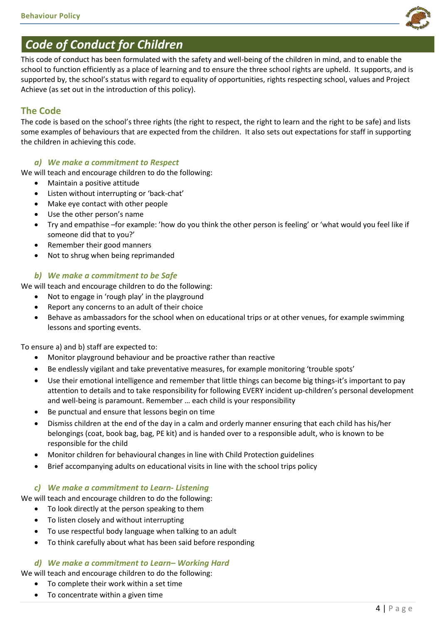

# *Code of Conduct for Children*

This code of conduct has been formulated with the safety and well-being of the children in mind, and to enable the school to function efficiently as a place of learning and to ensure the three school rights are upheld. It supports, and is supported by, the school's status with regard to equality of opportunities, rights respecting school, values and Project Achieve (as set out in the introduction of this policy).

# **The Code**

The code is based on the school's three rights (the right to respect, the right to learn and the right to be safe) and lists some examples of behaviours that are expected from the children. It also sets out expectations for staff in supporting the children in achieving this code.

#### *a) We make a commitment to Respect*

We will teach and encourage children to do the following:

- Maintain a positive attitude
- Listen without interrupting or 'back-chat'
- Make eye contact with other people
- Use the other person's name
- Try and empathise –for example: 'how do you think the other person is feeling' or 'what would you feel like if someone did that to you?'
- Remember their good manners
- Not to shrug when being reprimanded

#### *b) We make a commitment to be Safe*

We will teach and encourage children to do the following:

- Not to engage in 'rough play' in the playground
- Report any concerns to an adult of their choice
- Behave as ambassadors for the school when on educational trips or at other venues, for example swimming lessons and sporting events.

To ensure a) and b) staff are expected to:

- Monitor playground behaviour and be proactive rather than reactive
- Be endlessly vigilant and take preventative measures, for example monitoring 'trouble spots'
- Use their emotional intelligence and remember that little things can become big things-it's important to pay attention to details and to take responsibility for following EVERY incident up-children's personal development and well-being is paramount. Remember … each child is your responsibility
- Be punctual and ensure that lessons begin on time
- Dismiss children at the end of the day in a calm and orderly manner ensuring that each child has his/her belongings (coat, book bag, bag, PE kit) and is handed over to a responsible adult, who is known to be responsible for the child
- Monitor children for behavioural changes in line with Child Protection guidelines
- Brief accompanying adults on educational visits in line with the school trips policy

#### *c) We make a commitment to Learn- Listening*

We will teach and encourage children to do the following:

- To look directly at the person speaking to them
- To listen closely and without interrupting
- To use respectful body language when talking to an adult
- To think carefully about what has been said before responding

#### *d) We make a commitment to Learn– Working Hard*

We will teach and encourage children to do the following:

- To complete their work within a set time
- To concentrate within a given time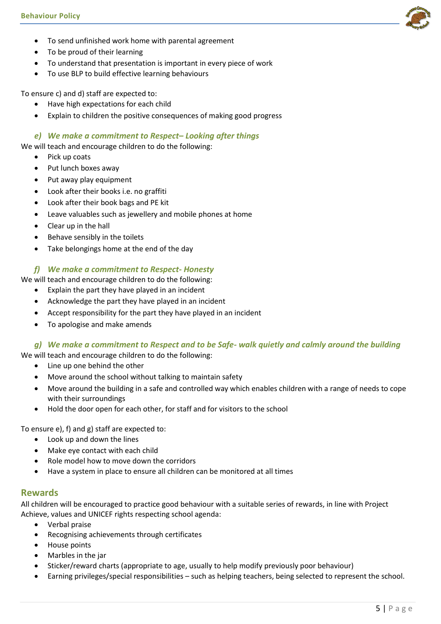- To send unfinished work home with parental agreement
- To be proud of their learning
- To understand that presentation is important in every piece of work
- To use BLP to build effective learning behaviours

To ensure c) and d) staff are expected to:

- Have high expectations for each child
- Explain to children the positive consequences of making good progress

#### *e) We make a commitment to Respect– Looking after things*

We will teach and encourage children to do the following:

- Pick up coats
- Put lunch boxes away
- Put away play equipment
- Look after their books i.e. no graffiti
- Look after their book bags and PE kit
- Leave valuables such as jewellery and mobile phones at home
- Clear up in the hall
- Behave sensibly in the toilets
- Take belongings home at the end of the day

#### *f) We make a commitment to Respect- Honesty*

We will teach and encourage children to do the following:

- Explain the part they have played in an incident
- Acknowledge the part they have played in an incident
- Accept responsibility for the part they have played in an incident
- To apologise and make amends

#### *g) We make a commitment to Respect and to be Safe- walk quietly and calmly around the building*

We will teach and encourage children to do the following:

- Line up one behind the other
- Move around the school without talking to maintain safety
- Move around the building in a safe and controlled way which enables children with a range of needs to cope with their surroundings
- Hold the door open for each other, for staff and for visitors to the school

To ensure e), f) and g) staff are expected to:

- Look up and down the lines
- Make eye contact with each child
- Role model how to move down the corridors
- Have a system in place to ensure all children can be monitored at all times

#### **Rewards**

All children will be encouraged to practice good behaviour with a suitable series of rewards, in line with Project Achieve, values and UNICEF rights respecting school agenda:

- Verbal praise
- Recognising achievements through certificates
- House points
- Marbles in the jar
- Sticker/reward charts (appropriate to age, usually to help modify previously poor behaviour)
- Earning privileges/special responsibilities such as helping teachers, being selected to represent the school.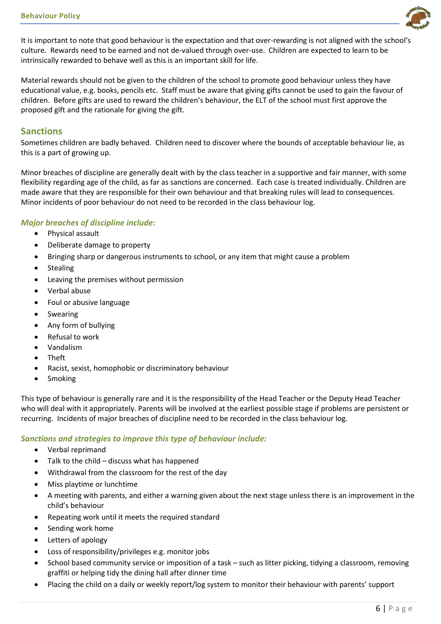

It is important to note that good behaviour is the expectation and that over-rewarding is not aligned with the school's culture. Rewards need to be earned and not de-valued through over-use. Children are expected to learn to be intrinsically rewarded to behave well as this is an important skill for life.

Material rewards should not be given to the children of the school to promote good behaviour unless they have educational value, e.g. books, pencils etc. Staff must be aware that giving gifts cannot be used to gain the favour of children. Before gifts are used to reward the children's behaviour, the ELT of the school must first approve the proposed gift and the rationale for giving the gift.

#### **Sanctions**

Sometimes children are badly behaved. Children need to discover where the bounds of acceptable behaviour lie, as this is a part of growing up.

Minor breaches of discipline are generally dealt with by the class teacher in a supportive and fair manner, with some flexibility regarding age of the child, as far as sanctions are concerned. Each case is treated individually. Children are made aware that they are responsible for their own behaviour and that breaking rules will lead to consequences. Minor incidents of poor behaviour do not need to be recorded in the class behaviour log.

#### *Major breaches of discipline include:*

- Physical assault
- Deliberate damage to property
- Bringing sharp or dangerous instruments to school, or any item that might cause a problem
- Stealing
- Leaving the premises without permission
- Verbal abuse
- Foul or abusive language
- Swearing
- Any form of bullying
- Refusal to work
- Vandalism
- Theft
- Racist, sexist, homophobic or discriminatory behaviour
- Smoking

This type of behaviour is generally rare and it is the responsibility of the Head Teacher or the Deputy Head Teacher who will deal with it appropriately. Parents will be involved at the earliest possible stage if problems are persistent or recurring. Incidents of major breaches of discipline need to be recorded in the class behaviour log.

#### *Sanctions and strategies to improve this type of behaviour include:*

- Verbal reprimand
- Talk to the child discuss what has happened
- Withdrawal from the classroom for the rest of the day
- Miss playtime or lunchtime
- A meeting with parents, and either a warning given about the next stage unless there is an improvement in the child's behaviour
- Repeating work until it meets the required standard
- Sending work home
- Letters of apology
- Loss of responsibility/privileges e.g. monitor jobs
- School based community service or imposition of a task such as litter picking, tidying a classroom, removing graffiti or helping tidy the dining hall after dinner time
- Placing the child on a daily or weekly report/log system to monitor their behaviour with parents' support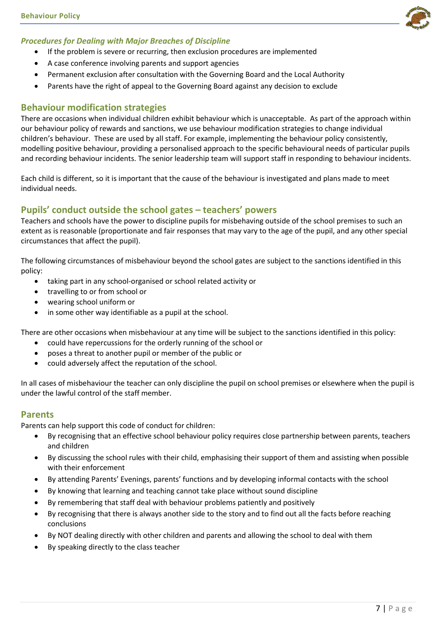

- If the problem is severe or recurring, then exclusion procedures are implemented
- A case conference involving parents and support agencies
- Permanent exclusion after consultation with the Governing Board and the Local Authority
- Parents have the right of appeal to the Governing Board against any decision to exclude

#### **Behaviour modification strategies**

There are occasions when individual children exhibit behaviour which is unacceptable. As part of the approach within our behaviour policy of rewards and sanctions, we use behaviour modification strategies to change individual children's behaviour. These are used by all staff. For example, implementing the behaviour policy consistently, modelling positive behaviour, providing a personalised approach to the specific behavioural needs of particular pupils and recording behaviour incidents. The senior leadership team will support staff in responding to behaviour incidents.

Each child is different, so it is important that the cause of the behaviour is investigated and plans made to meet individual needs.

### **Pupils' conduct outside the school gates – teachers' powers**

Teachers and schools have the power to discipline pupils for misbehaving outside of the school premises to such an extent as is reasonable (proportionate and fair responses that may vary to the age of the pupil, and any other special circumstances that affect the pupil).

The following circumstances of misbehaviour beyond the school gates are subject to the sanctions identified in this policy:

- taking part in any school-organised or school related activity or
- travelling to or from school or
- wearing school uniform or
- in some other way identifiable as a pupil at the school.

There are other occasions when misbehaviour at any time will be subject to the sanctions identified in this policy:

- could have repercussions for the orderly running of the school or
- poses a threat to another pupil or member of the public or
- could adversely affect the reputation of the school.

In all cases of misbehaviour the teacher can only discipline the pupil on school premises or elsewhere when the pupil is under the lawful control of the staff member.

#### **Parents**

Parents can help support this code of conduct for children:

- By recognising that an effective school behaviour policy requires close partnership between parents, teachers and children
- By discussing the school rules with their child, emphasising their support of them and assisting when possible with their enforcement
- By attending Parents' Evenings, parents' functions and by developing informal contacts with the school
- By knowing that learning and teaching cannot take place without sound discipline
- By remembering that staff deal with behaviour problems patiently and positively
- By recognising that there is always another side to the story and to find out all the facts before reaching conclusions
- By NOT dealing directly with other children and parents and allowing the school to deal with them
- By speaking directly to the class teacher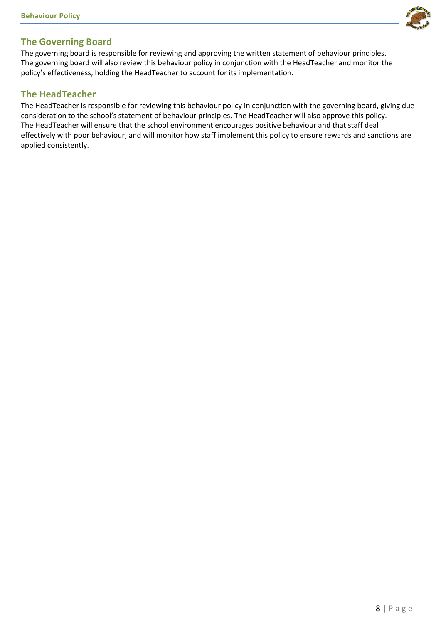

The governing board is responsible for reviewing and approving the written statement of behaviour principles. The governing board will also review this behaviour policy in conjunction with the HeadTeacher and monitor the policy's effectiveness, holding the HeadTeacher to account for its implementation.

#### **The HeadTeacher**

The HeadTeacher is responsible for reviewing this behaviour policy in conjunction with the governing board, giving due consideration to the school's statement of behaviour principles. The HeadTeacher will also approve this policy. The HeadTeacher will ensure that the school environment encourages positive behaviour and that staff deal effectively with poor behaviour, and will monitor how staff implement this policy to ensure rewards and sanctions are applied consistently.

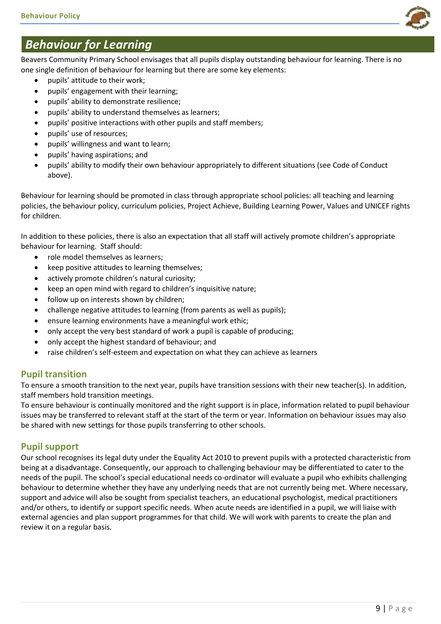

# *Behaviour for Learning*

Beavers Community Primary School envisages that all pupils display outstanding behaviour for learning. There is no one single definition of behaviour for learning but there are some key elements:

- pupils' attitude to their work;
- pupils' engagement with their learning;
- pupils' ability to demonstrate resilience;
- pupils' ability to understand themselves as learners;
- pupils' positive interactions with other pupils and staff members;
- pupils' use of resources;
- pupils' willingness and want to learn;
- pupils' having aspirations; and
- pupils' ability to modify their own behaviour appropriately to different situations (see Code of Conduct above).

Behaviour for learning should be promoted in class through appropriate school policies: all teaching and learning policies, the behaviour policy, curriculum policies, Project Achieve, Building Learning Power, Values and UNICEF rights for children.

In addition to these policies, there is also an expectation that all staff will actively promote children's appropriate behaviour for learning. Staff should:

- role model themselves as learners;
- keep positive attitudes to learning themselves;
- actively promote children's natural curiosity;
- keep an open mind with regard to children's inquisitive nature;
- follow up on interests shown by children;
- challenge negative attitudes to learning (from parents as well as pupils);
- ensure learning environments have a meaningful work ethic;
- only accept the very best standard of work a pupil is capable of producing;
- only accept the highest standard of behaviour; and
- raise children's self-esteem and expectation on what they can achieve as learners

# **Pupil transition**

To ensure a smooth transition to the next year, pupils have transition sessions with their new teacher(s). In addition, staff members hold transition meetings.

To ensure behaviour is continually monitored and the right support is in place, information related to pupil behaviour issues may be transferred to relevant staff at the start of the term or year. Information on behaviour issues may also be shared with new settings for those pupils transferring to other schools.

# **Pupil support**

Our school recognises its legal duty under the Equality Act 2010 to prevent pupils with a protected characteristic from being at a disadvantage. Consequently, our approach to challenging behaviour may be differentiated to cater to the needs of the pupil. The school's special educational needs co-ordinator will evaluate a pupil who exhibits challenging behaviour to determine whether they have any underlying needs that are not currently being met. Where necessary, support and advice will also be sought from specialist teachers, an educational psychologist, medical practitioners and/or others, to identify or support specific needs. When acute needs are identified in a pupil, we will liaise with external agencies and plan support programmes for that child. We will work with parents to create the plan and review it on a regular basis.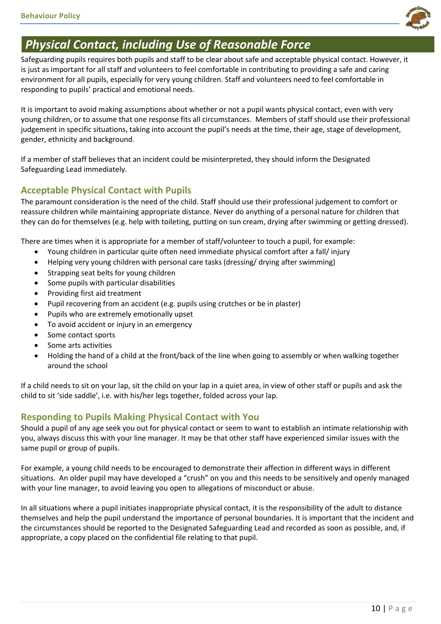

# *Physical Contact, including Use of Reasonable Force*

Safeguarding pupils requires both pupils and staff to be clear about safe and acceptable physical contact. However, it is just as important for all staff and volunteers to feel comfortable in contributing to providing a safe and caring environment for all pupils, especially for very young children. Staff and volunteers need to feel comfortable in responding to pupils' practical and emotional needs.

It is important to avoid making assumptions about whether or not a pupil wants physical contact, even with very young children, or to assume that one response fits all circumstances. Members of staff should use their professional judgement in specific situations, taking into account the pupil's needs at the time, their age, stage of development, gender, ethnicity and background.

If a member of staff believes that an incident could be misinterpreted, they should inform the Designated Safeguarding Lead immediately.

# **Acceptable Physical Contact with Pupils**

The paramount consideration is the need of the child. Staff should use their professional judgement to comfort or reassure children while maintaining appropriate distance. Never do anything of a personal nature for children that they can do for themselves (e.g. help with toileting, putting on sun cream, drying after swimming or getting dressed).

There are times when it is appropriate for a member of staff/volunteer to touch a pupil, for example:

- Young children in particular quite often need immediate physical comfort after a fall/ injury
- Helping very young children with personal care tasks (dressing/ drying after swimming)
- Strapping seat belts for young children
- Some pupils with particular disabilities
- Providing first aid treatment
- Pupil recovering from an accident (e.g. pupils using crutches or be in plaster)
- Pupils who are extremely emotionally upset
- To avoid accident or injury in an emergency
- Some contact sports
- Some arts activities
- Holding the hand of a child at the front/back of the line when going to assembly or when walking together around the school

If a child needs to sit on your lap, sit the child on your lap in a quiet area, in view of other staff or pupils and ask the child to sit 'side saddle', i.e. with his/her legs together, folded across your lap.

# **Responding to Pupils Making Physical Contact with You**

Should a pupil of any age seek you out for physical contact or seem to want to establish an intimate relationship with you, always discuss this with your line manager. It may be that other staff have experienced similar issues with the same pupil or group of pupils.

For example, a young child needs to be encouraged to demonstrate their affection in different ways in different situations. An older pupil may have developed a "crush" on you and this needs to be sensitively and openly managed with your line manager, to avoid leaving you open to allegations of misconduct or abuse.

In all situations where a pupil initiates inappropriate physical contact, it is the responsibility of the adult to distance themselves and help the pupil understand the importance of personal boundaries. It is important that the incident and the circumstances should be reported to the Designated Safeguarding Lead and recorded as soon as possible, and, if appropriate, a copy placed on the confidential file relating to that pupil.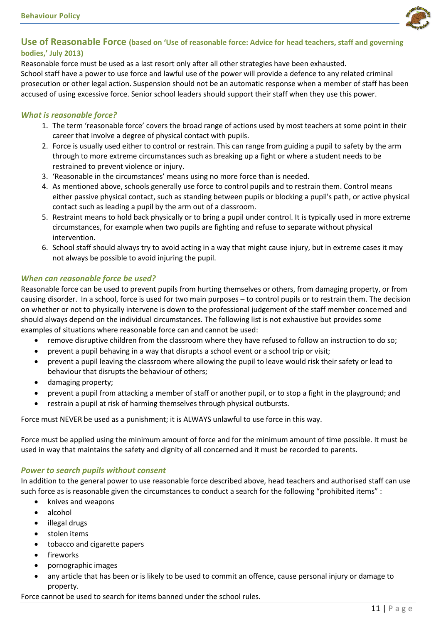

#### **Use of Reasonable Force (based on 'Use of reasonable force: Advice for head teachers, staff and governing bodies,' July 2013)**

Reasonable force must be used as a last resort only after all other strategies have been exhausted. School staff have a power to use force and lawful use of the power will provide a defence to any related criminal prosecution or other legal action. Suspension should not be an automatic response when a member of staff has been accused of using excessive force. Senior school leaders should support their staff when they use this power.

#### *What is reasonable force?*

- 1. The term 'reasonable force' covers the broad range of actions used by most teachers at some point in their career that involve a degree of physical contact with pupils.
- 2. Force is usually used either to control or restrain. This can range from guiding a pupil to safety by the arm through to more extreme circumstances such as breaking up a fight or where a student needs to be restrained to prevent violence or injury.
- 3. 'Reasonable in the circumstances' means using no more force than is needed.
- 4. As mentioned above, schools generally use force to control pupils and to restrain them. Control means either passive physical contact, such as standing between pupils or blocking a pupil's path, or active physical contact such as leading a pupil by the arm out of a classroom.
- 5. Restraint means to hold back physically or to bring a pupil under control. It is typically used in more extreme circumstances, for example when two pupils are fighting and refuse to separate without physical intervention.
- 6. School staff should always try to avoid acting in a way that might cause injury, but in extreme cases it may not always be possible to avoid injuring the pupil.

#### *When can reasonable force be used?*

Reasonable force can be used to prevent pupils from hurting themselves or others, from damaging property, or from causing disorder. In a school, force is used for two main purposes – to control pupils or to restrain them. The decision on whether or not to physically intervene is down to the professional judgement of the staff member concerned and should always depend on the individual circumstances. The following list is not exhaustive but provides some examples of situations where reasonable force can and cannot be used:

- remove disruptive children from the classroom where they have refused to follow an instruction to do so;
- prevent a pupil behaving in a way that disrupts a school event or a school trip or visit;
- prevent a pupil leaving the classroom where allowing the pupil to leave would risk their safety or lead to behaviour that disrupts the behaviour of others;
- damaging property;
- prevent a pupil from attacking a member of staff or another pupil, or to stop a fight in the playground; and
- restrain a pupil at risk of harming themselves through physical outbursts.

Force must NEVER be used as a punishment; it is ALWAYS unlawful to use force in this way.

Force must be applied using the minimum amount of force and for the minimum amount of time possible. It must be used in way that maintains the safety and dignity of all concerned and it must be recorded to parents.

#### *Power to search pupils without consent*

In addition to the general power to use reasonable force described above, head teachers and authorised staff can use such force as is reasonable given the circumstances to conduct a search for the following "prohibited items" :

- knives and weapons
- alcohol
- illegal drugs
- stolen items
- tobacco and cigarette papers
- fireworks
- pornographic images
- any article that has been or is likely to be used to commit an offence, cause personal injury or damage to property.

Force cannot be used to search for items banned under the school rules.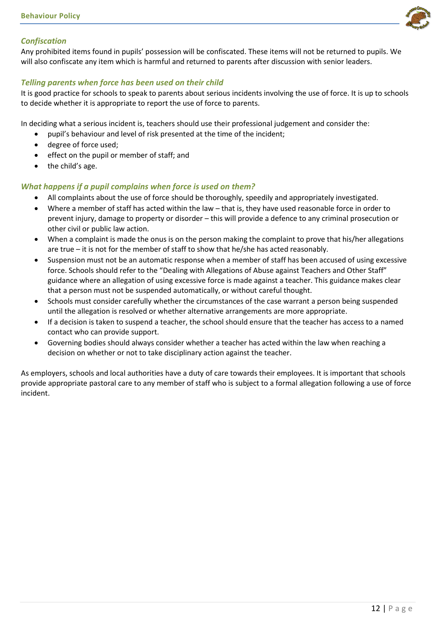

#### *Confiscation*

Any prohibited items found in pupils' possession will be confiscated. These items will not be returned to pupils. We will also confiscate any item which is harmful and returned to parents after discussion with senior leaders.

#### *Telling parents when force has been used on their child*

It is good practice for schools to speak to parents about serious incidents involving the use of force. It is up to schools to decide whether it is appropriate to report the use of force to parents.

In deciding what a serious incident is, teachers should use their professional judgement and consider the:

- pupil's behaviour and level of risk presented at the time of the incident;
- degree of force used;
- effect on the pupil or member of staff; and
- $\bullet$  the child's age.

#### *What happens if a pupil complains when force is used on them?*

- All complaints about the use of force should be thoroughly, speedily and appropriately investigated.
- Where a member of staff has acted within the law that is, they have used reasonable force in order to prevent injury, damage to property or disorder – this will provide a defence to any criminal prosecution or other civil or public law action.
- When a complaint is made the onus is on the person making the complaint to prove that his/her allegations are true – it is not for the member of staff to show that he/she has acted reasonably.
- Suspension must not be an automatic response when a member of staff has been accused of using excessive force. Schools should refer to the "Dealing with Allegations of Abuse against Teachers and Other Staff" guidance where an allegation of using excessive force is made against a teacher. This guidance makes clear that a person must not be suspended automatically, or without careful thought.
- Schools must consider carefully whether the circumstances of the case warrant a person being suspended until the allegation is resolved or whether alternative arrangements are more appropriate.
- If a decision is taken to suspend a teacher, the school should ensure that the teacher has access to a named contact who can provide support.
- Governing bodies should always consider whether a teacher has acted within the law when reaching a decision on whether or not to take disciplinary action against the teacher.

As employers, schools and local authorities have a duty of care towards their employees. It is important that schools provide appropriate pastoral care to any member of staff who is subject to a formal allegation following a use of force incident.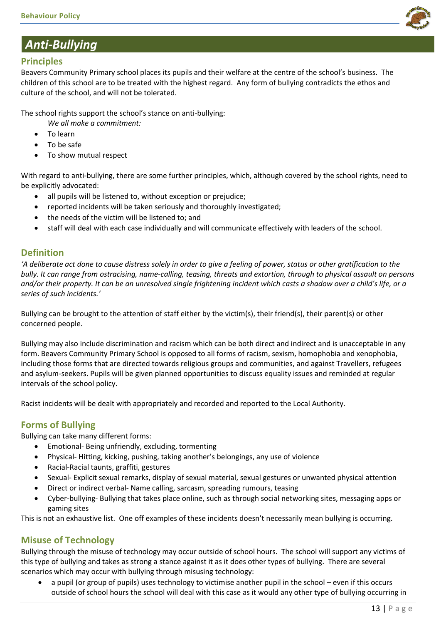

# *Anti-Bullying*

# **Principles**

Beavers Community Primary school places its pupils and their welfare at the centre of the school's business. The children of this school are to be treated with the highest regard. Any form of bullying contradicts the ethos and culture of the school, and will not be tolerated.

The school rights support the school's stance on anti-bullying:

- *We all make a commitment:*
- To learn
- To be safe
- To show mutual respect

With regard to anti-bullying, there are some further principles, which, although covered by the school rights, need to be explicitly advocated:

- all pupils will be listened to, without exception or prejudice;
- reported incidents will be taken seriously and thoroughly investigated;
- the needs of the victim will be listened to; and
- staff will deal with each case individually and will communicate effectively with leaders of the school.

### **Definition**

*'A deliberate act done to cause distress solely in order to give a feeling of power, status or other gratification to the bully. It can range from ostracising, name-calling, teasing, threats and extortion, through to physical assault on persons and/or their property. It can be an unresolved single frightening incident which casts a shadow over a child's life, or a series of such incidents.'* 

Bullying can be brought to the attention of staff either by the victim(s), their friend(s), their parent(s) or other concerned people.

Bullying may also include discrimination and racism which can be both direct and indirect and is unacceptable in any form. Beavers Community Primary School is opposed to all forms of racism, sexism, homophobia and xenophobia, including those forms that are directed towards religious groups and communities, and against Travellers, refugees and asylum-seekers. Pupils will be given planned opportunities to discuss equality issues and reminded at regular intervals of the school policy.

Racist incidents will be dealt with appropriately and recorded and reported to the Local Authority.

# **Forms of Bullying**

Bullying can take many different forms:

- Emotional- Being unfriendly, excluding, tormenting
- Physical- Hitting, kicking, pushing, taking another's belongings, any use of violence
- Racial-Racial taunts, graffiti, gestures
- Sexual- Explicit sexual remarks, display of sexual material, sexual gestures or unwanted physical attention
- Direct or indirect verbal- Name calling, sarcasm, spreading rumours, teasing
- Cyber-bullying- Bullying that takes place online, such as through social networking sites, messaging apps or gaming sites

This is not an exhaustive list. One off examples of these incidents doesn't necessarily mean bullying is occurring.

# **Misuse of Technology**

Bullying through the misuse of technology may occur outside of school hours. The school will support any victims of this type of bullying and takes as strong a stance against it as it does other types of bullying. There are several scenarios which may occur with bullying through misusing technology:

 a pupil (or group of pupils) uses technology to victimise another pupil in the school – even if this occurs outside of school hours the school will deal with this case as it would any other type of bullying occurring in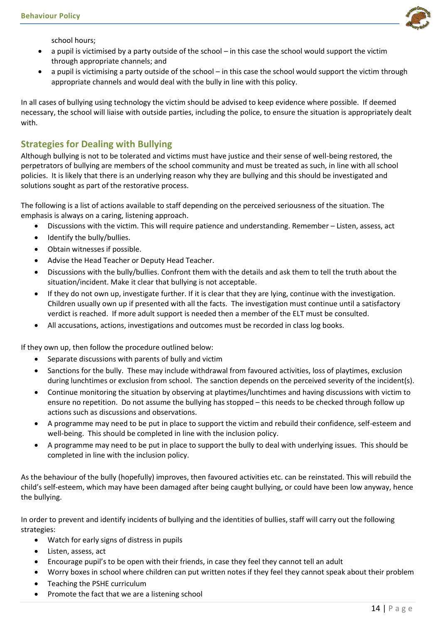

school hours;

- a pupil is victimised by a party outside of the school in this case the school would support the victim through appropriate channels; and
- a pupil is victimising a party outside of the school in this case the school would support the victim through appropriate channels and would deal with the bully in line with this policy.

In all cases of bullying using technology the victim should be advised to keep evidence where possible. If deemed necessary, the school will liaise with outside parties, including the police, to ensure the situation is appropriately dealt with.

# **Strategies for Dealing with Bullying**

Although bullying is not to be tolerated and victims must have justice and their sense of well-being restored, the perpetrators of bullying are members of the school community and must be treated as such, in line with all school policies. It is likely that there is an underlying reason why they are bullying and this should be investigated and solutions sought as part of the restorative process.

The following is a list of actions available to staff depending on the perceived seriousness of the situation. The emphasis is always on a caring, listening approach.

- Discussions with the victim. This will require patience and understanding. Remember Listen, assess, act
- Identify the bully/bullies.
- Obtain witnesses if possible.
- Advise the Head Teacher or Deputy Head Teacher.
- Discussions with the bully/bullies. Confront them with the details and ask them to tell the truth about the situation/incident. Make it clear that bullying is not acceptable.
- If they do not own up, investigate further. If it is clear that they are lying, continue with the investigation. Children usually own up if presented with all the facts. The investigation must continue until a satisfactory verdict is reached. If more adult support is needed then a member of the ELT must be consulted.
- All accusations, actions, investigations and outcomes must be recorded in class log books.

If they own up, then follow the procedure outlined below:

- Separate discussions with parents of bully and victim
- Sanctions for the bully. These may include withdrawal from favoured activities, loss of playtimes, exclusion during lunchtimes or exclusion from school. The sanction depends on the perceived severity of the incident(s).
- Continue monitoring the situation by observing at playtimes/lunchtimes and having discussions with victim to ensure no repetition. Do not assume the bullying has stopped – this needs to be checked through follow up actions such as discussions and observations.
- A programme may need to be put in place to support the victim and rebuild their confidence, self-esteem and well-being. This should be completed in line with the inclusion policy.
- A programme may need to be put in place to support the bully to deal with underlying issues. This should be completed in line with the inclusion policy.

As the behaviour of the bully (hopefully) improves, then favoured activities etc. can be reinstated. This will rebuild the child's self-esteem, which may have been damaged after being caught bullying, or could have been low anyway, hence the bullying.

In order to prevent and identify incidents of bullying and the identities of bullies, staff will carry out the following strategies:

- Watch for early signs of distress in pupils
- Listen, assess, act
- Encourage pupil's to be open with their friends, in case they feel they cannot tell an adult
- Worry boxes in school where children can put written notes if they feel they cannot speak about their problem
- Teaching the PSHE curriculum
- Promote the fact that we are a listening school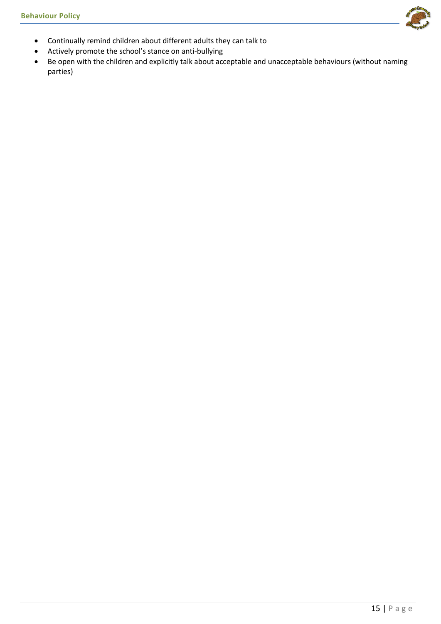

- Actively promote the school's stance on anti-bullying
- Be open with the children and explicitly talk about acceptable and unacceptable behaviours (without naming parties)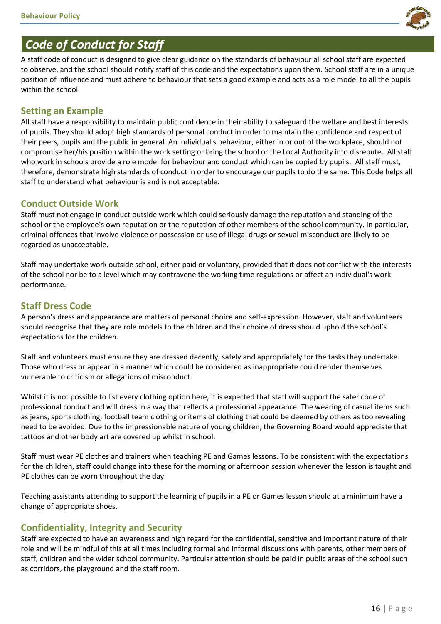

# *Code of Conduct for Staff*

A staff code of conduct is designed to give clear guidance on the standards of behaviour all school staff are expected to observe, and the school should notify staff of this code and the expectations upon them. School staff are in a unique position of influence and must adhere to behaviour that sets a good example and acts as a role model to all the pupils within the school.

# **Setting an Example**

All staff have a responsibility to maintain public confidence in their ability to safeguard the welfare and best interests of pupils. They should adopt high standards of personal conduct in order to maintain the confidence and respect of their peers, pupils and the public in general. An individual's behaviour, either in or out of the workplace, should not compromise her/his position within the work setting or bring the school or the Local Authority into disrepute. All staff who work in schools provide a role model for behaviour and conduct which can be copied by pupils. All staff must, therefore, demonstrate high standards of conduct in order to encourage our pupils to do the same. This Code helps all staff to understand what behaviour is and is not acceptable.

# **Conduct Outside Work**

Staff must not engage in conduct outside work which could seriously damage the reputation and standing of the school or the employee's own reputation or the reputation of other members of the school community. In particular, criminal offences that involve violence or possession or use of illegal drugs or sexual misconduct are likely to be regarded as unacceptable.

Staff may undertake work outside school, either paid or voluntary, provided that it does not conflict with the interests of the school nor be to a level which may contravene the working time regulations or affect an individual's work performance.

# **Staff Dress Code**

A person's dress and appearance are matters of personal choice and self-expression. However, staff and volunteers should recognise that they are role models to the children and their choice of dress should uphold the school's expectations for the children.

Staff and volunteers must ensure they are dressed decently, safely and appropriately for the tasks they undertake. Those who dress or appear in a manner which could be considered as inappropriate could render themselves vulnerable to criticism or allegations of misconduct.

Whilst it is not possible to list every clothing option here, it is expected that staff will support the safer code of professional conduct and will dress in a way that reflects a professional appearance. The wearing of casual items such as jeans, sports clothing, football team clothing or items of clothing that could be deemed by others as too revealing need to be avoided. Due to the impressionable nature of young children, the Governing Board would appreciate that tattoos and other body art are covered up whilst in school.

Staff must wear PE clothes and trainers when teaching PE and Games lessons. To be consistent with the expectations for the children, staff could change into these for the morning or afternoon session whenever the lesson is taught and PE clothes can be worn throughout the day.

Teaching assistants attending to support the learning of pupils in a PE or Games lesson should at a minimum have a change of appropriate shoes.

# **Confidentiality, Integrity and Security**

Staff are expected to have an awareness and high regard for the confidential, sensitive and important nature of their role and will be mindful of this at all times including formal and informal discussions with parents, other members of staff, children and the wider school community. Particular attention should be paid in public areas of the school such as corridors, the playground and the staff room.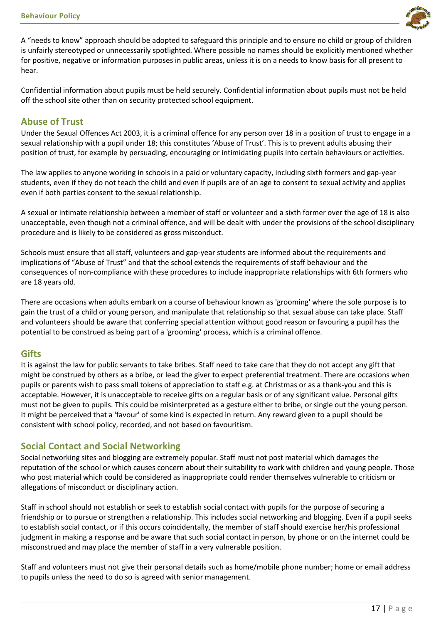

A "needs to know" approach should be adopted to safeguard this principle and to ensure no child or group of children is unfairly stereotyped or unnecessarily spotlighted. Where possible no names should be explicitly mentioned whether for positive, negative or information purposes in public areas, unless it is on a needs to know basis for all present to hear.

Confidential information about pupils must be held securely. Confidential information about pupils must not be held off the school site other than on security protected school equipment.

#### **Abuse of Trust**

Under the Sexual Offences Act 2003, it is a criminal offence for any person over 18 in a position of trust to engage in a sexual relationship with a pupil under 18; this constitutes 'Abuse of Trust'. This is to prevent adults abusing their position of trust, for example by persuading, encouraging or intimidating pupils into certain behaviours or activities.

The law applies to anyone working in schools in a paid or voluntary capacity, including sixth formers and gap-year students, even if they do not teach the child and even if pupils are of an age to consent to sexual activity and applies even if both parties consent to the sexual relationship.

A sexual or intimate relationship between a member of staff or volunteer and a sixth former over the age of 18 is also unacceptable, even though not a criminal offence, and will be dealt with under the provisions of the school disciplinary procedure and is likely to be considered as gross misconduct.

Schools must ensure that all staff, volunteers and gap-year students are informed about the requirements and implications of "Abuse of Trust" and that the school extends the requirements of staff behaviour and the consequences of non-compliance with these procedures to include inappropriate relationships with 6th formers who are 18 years old.

There are occasions when adults embark on a course of behaviour known as 'grooming' where the sole purpose is to gain the trust of a child or young person, and manipulate that relationship so that sexual abuse can take place. Staff and volunteers should be aware that conferring special attention without good reason or favouring a pupil has the potential to be construed as being part of a 'grooming' process, which is a criminal offence.

#### **Gifts**

It is against the law for public servants to take bribes. Staff need to take care that they do not accept any gift that might be construed by others as a bribe, or lead the giver to expect preferential treatment. There are occasions when pupils or parents wish to pass small tokens of appreciation to staff e.g. at Christmas or as a thank-you and this is acceptable. However, it is unacceptable to receive gifts on a regular basis or of any significant value. Personal gifts must not be given to pupils. This could be misinterpreted as a gesture either to bribe, or single out the young person. It might be perceived that a 'favour' of some kind is expected in return. Any reward given to a pupil should be consistent with school policy, recorded, and not based on favouritism.

#### **Social Contact and Social Networking**

Social networking sites and blogging are extremely popular. Staff must not post material which damages the reputation of the school or which causes concern about their suitability to work with children and young people. Those who post material which could be considered as inappropriate could render themselves vulnerable to criticism or allegations of misconduct or disciplinary action.

Staff in school should not establish or seek to establish social contact with pupils for the purpose of securing a friendship or to pursue or strengthen a relationship. This includes social networking and blogging. Even if a pupil seeks to establish social contact, or if this occurs coincidentally, the member of staff should exercise her/his professional judgment in making a response and be aware that such social contact in person, by phone or on the internet could be misconstrued and may place the member of staff in a very vulnerable position.

Staff and volunteers must not give their personal details such as home/mobile phone number; home or email address to pupils unless the need to do so is agreed with senior management.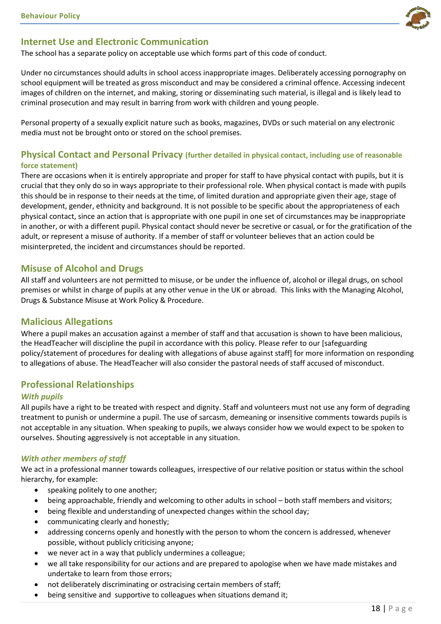### **Internet Use and Electronic Communication**

The school has a separate policy on acceptable use which forms part of this code of conduct.

Under no circumstances should adults in school access inappropriate images. Deliberately accessing pornography on school equipment will be treated as gross misconduct and may be considered a criminal offence. Accessing indecent images of children on the internet, and making, storing or disseminating such material, is illegal and is likely lead to criminal prosecution and may result in barring from work with children and young people.

Personal property of a sexually explicit nature such as books, magazines, DVDs or such material on any electronic media must not be brought onto or stored on the school premises.

#### **Physical Contact and Personal Privacy (further detailed in physical contact, including use of reasonable force statement)**

There are occasions when it is entirely appropriate and proper for staff to have physical contact with pupils, but it is crucial that they only do so in ways appropriate to their professional role. When physical contact is made with pupils this should be in response to their needs at the time, of limited duration and appropriate given their age, stage of development, gender, ethnicity and background. It is not possible to be specific about the appropriateness of each physical contact, since an action that is appropriate with one pupil in one set of circumstances may be inappropriate in another, or with a different pupil. Physical contact should never be secretive or casual, or for the gratification of the adult, or represent a misuse of authority. If a member of staff or volunteer believes that an action could be misinterpreted, the incident and circumstances should be reported.

### **Misuse of Alcohol and Drugs**

All staff and volunteers are not permitted to misuse, or be under the influence of, alcohol or illegal drugs, on school premises or whilst in charge of pupils at any other venue in the UK or abroad. This links with the Managing Alcohol, Drugs & Substance Misuse at Work Policy & Procedure.

#### **Malicious Allegations**

Where a pupil makes an accusation against a member of staff and that accusation is shown to have been malicious, the HeadTeacher will discipline the pupil in accordance with this policy. Please refer to our [safeguarding policy/statement of procedures for dealing with allegations of abuse against staff] for more information on responding to allegations of abuse. The HeadTeacher will also consider the pastoral needs of staff accused of misconduct.

#### **Professional Relationships**

#### *With pupils*

All pupils have a right to be treated with respect and dignity. Staff and volunteers must not use any form of degrading treatment to punish or undermine a pupil. The use of sarcasm, demeaning or insensitive comments towards pupils is not acceptable in any situation. When speaking to pupils, we always consider how we would expect to be spoken to ourselves. Shouting aggressively is not acceptable in any situation.

#### *With other members of staff*

We act in a professional manner towards colleagues, irrespective of our relative position or status within the school hierarchy, for example:

- speaking politely to one another;
- being approachable, friendly and welcoming to other adults in school both staff members and visitors;
- being flexible and understanding of unexpected changes within the school day;
- communicating clearly and honestly;
- addressing concerns openly and honestly with the person to whom the concern is addressed, whenever possible, without publicly criticising anyone;
- we never act in a way that publicly undermines a colleague;
- we all take responsibility for our actions and are prepared to apologise when we have made mistakes and undertake to learn from those errors;
- not deliberately discriminating or ostracising certain members of staff;
- being sensitive and supportive to colleagues when situations demand it;